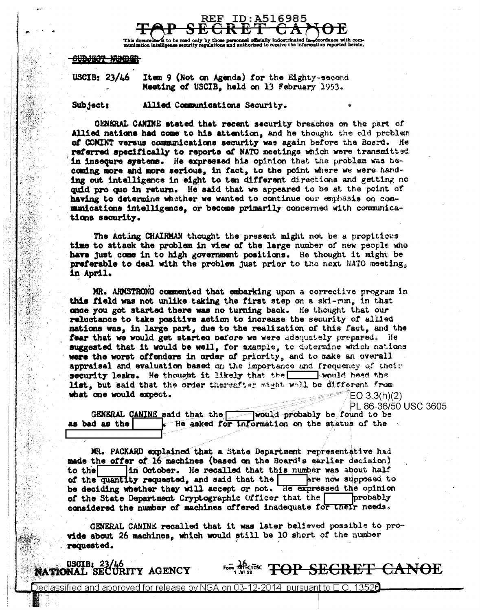

document to be read only by those personnel officially indoctrinated in coordance with conditional extension of the condition of the condition of the condition of the condition of the condition of the calculation reported ordance with con

## <del>NDUNGY NUMBER</del>

USCIB:  $23/46$ Item 9 (Not on Agenda) for the Eighty-second Meeting of USCIB, held on 13 February 1953.

Subject: Allied Communications Security.

GENERAL CANINE stated that recent security breaches on the part of Allied nations had come to his attention, and he thought the old problem of COMINT versus communications security was again before the Board. He referred specifically to reports of NATO meetings which were transmitted in insequre systems. He expressed his opinion that the problem was becoming more and more serious, in fact, to the point where we were handing out intelligence in eight to ten different directions and getting no quid pro quo in return. He said that we appeared to be at the point of having to determine whether we wanted to continue our emphasis on commanications intelligence, or become primarily concerned with communications security.

The Acting CHAIRMAN thought the present might not be a propitious time to attack the problem in view of the large number of new people who have just come in to high government positions. He thought it might be preferable to deal with the problem just prior to the next NATO meeting, in April.

MR. ARMSTRONG commented that embarking upon a corrective program in this field was not unlike taking the first step on a ski-run, in that once you got started there was no turning back. He thought that our reluctance to take positive action to increase the security of allied nations was, in large part, due to the realization of this fact, and the fear that we would get started before we were adequately prepared. He suggested that it would be well. for example, to determine which nations were the worst offenders in order of priority, and to make an overall appraisal and evaluation based on the importance and frequency of their security leaks. He thought it likely that the security lead that list, but said that the order thereafter might well be different from what one would expect.  $EO 3.3(h)(2)$ 

PL 86-36/50 USC 3605

GENERAL CANINE said that the would probably be found to be as bad as the - He asked for information on the status of the  $\rightarrow$ 

MR. PACKARD explained that a State Department representative had made the offer of 16 machines (based on the Board's earlier decision) in October. He recalled that this number was about half to the of the quantity requested, and said that the are now supposed to be deciding whether they will accept or not. He expressed the opinion of the State Department Cryptographic Officer that the **probably** considered the number of machines offered inadequate for their needs.

GENERAL CANINE recalled that it was later believed possible to provide about 26 machines, which would still be 10 short of the number requested.

USCIB: 23/46<br>NATIONAL SECURITY AGENCY

**For ARGINE TOP SECRET CANOE**